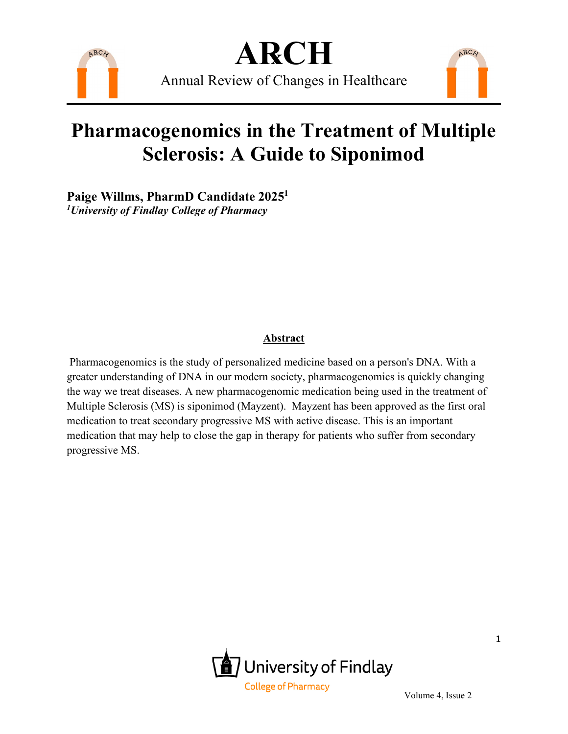

**A℞CH** Annual Review of Changes in Healthcare

### **Pharmacogenomics in the Treatment of Multiple Sclerosis: A Guide to Siponimod**

**Paige Willms, PharmD Candidate 20251** *1University of Findlay College of Pharmacy*

#### **Abstract**

Pharmacogenomics is the study of personalized medicine based on a person's DNA. With a greater understanding of DNA in our modern society, pharmacogenomics is quickly changing the way we treat diseases. A new pharmacogenomic medication being used in the treatment of Multiple Sclerosis (MS) is siponimod (Mayzent). Mayzent has been approved as the first oral medication to treat secondary progressive MS with active disease. This is an important medication that may help to close the gap in therapy for patients who suffer from secondary progressive MS.



ARCH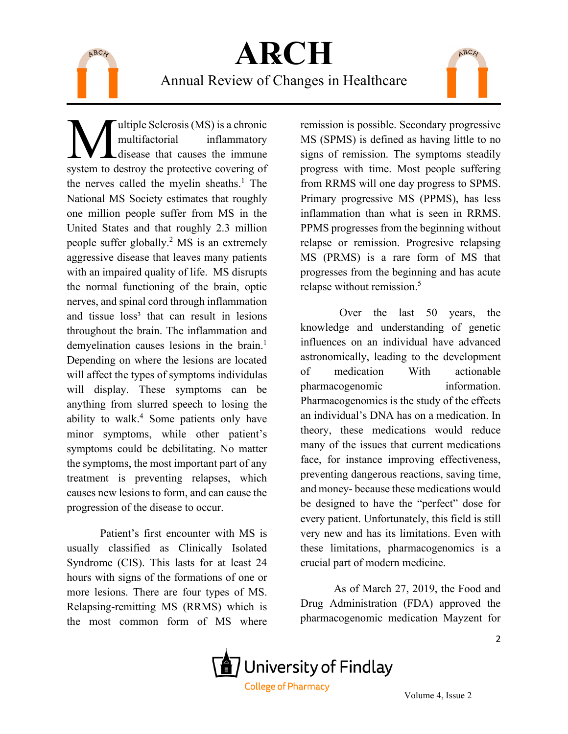

### **A℞CH** Annual Review of Changes in Healthcare

ultiple Sclerosis (MS) is a chronic multifactorial inflammatory disease that causes the immune **Solutifier Scharibon** Experiment CMS) is a chronic multifactorial inflammatory disease that causes the immune system to destroy the protective covering of the nerves called the myelin sheaths.<sup>1</sup> The National MS Society estimates that roughly one million people suffer from MS in the United States and that roughly 2.3 million people suffer globally.2 MS is an extremely aggressive disease that leaves many patients with an impaired quality of life. MS disrupts the normal functioning of the brain, optic nerves, and spinal cord through inflammation and tissue loss<sup>3</sup> that can result in lesions throughout the brain. The inflammation and demyelination causes lesions in the brain.<sup>1</sup> Depending on where the lesions are located will affect the types of symptoms individulas will display. These symptoms can be anything from slurred speech to losing the ability to walk.<sup>4</sup> Some patients only have minor symptoms, while other patient's symptoms could be debilitating. No matter the symptoms, the most important part of any treatment is preventing relapses, which causes new lesions to form, and can cause the progression of the disease to occur.

Patient's first encounter with MS is usually classified as Clinically Isolated Syndrome (CIS). This lasts for at least 24 hours with signs of the formations of one or more lesions. There are four types of MS. Relapsing-remitting MS (RRMS) which is the most common form of MS where

remission is possible. Secondary progressive MS (SPMS) is defined as having little to no signs of remission. The symptoms steadily progress with time. Most people suffering from RRMS will one day progress to SPMS. Primary progressive MS (PPMS), has less inflammation than what is seen in RRMS. PPMS progresses from the beginning without relapse or remission. Progresive relapsing MS (PRMS) is a rare form of MS that progresses from the beginning and has acute relapse without remission.<sup>5</sup>

ARCH

 Over the last 50 years, the knowledge and understanding of genetic influences on an individual have advanced astronomically, leading to the development of medication With actionable pharmacogenomic information. Pharmacogenomics is the study of the effects an individual's DNA has on a medication. In theory, these medications would reduce many of the issues that current medications face, for instance improving effectiveness, preventing dangerous reactions, saving time, and money- because these medications would be designed to have the "perfect" dose for every patient. Unfortunately, this field is still very new and has its limitations. Even with these limitations, pharmacogenomics is a crucial part of modern medicine.

As of March 27, 2019, the Food and Drug Administration (FDA) approved the pharmacogenomic medication Mayzent for

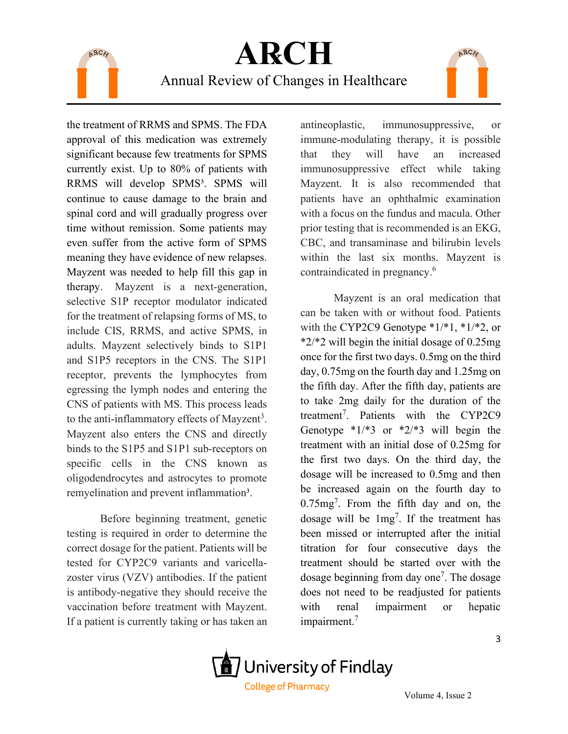

## **A℞CH** Annual Review of Changes in Healthcare

the treatment of RRMS and SPMS. The FDA approval of this medication was extremely significant because few treatments for SPMS currently exist. Up to 80% of patients with RRMS will develop SPMS<sup>3</sup>. SPMS will continue to cause damage to the brain and spinal cord and will gradually progress over time without remission. Some patients may even suffer from the active form of SPMS meaning they have evidence of new relapses. Mayzent was needed to help fill this gap in therapy. Mayzent is a next-generation, selective S1P receptor modulator indicated for the treatment of relapsing forms of MS, to include CIS, RRMS, and active SPMS, in adults. Mayzent selectively binds to S1P1 and S1P5 receptors in the CNS. The S1P1 receptor, prevents the lymphocytes from egressing the lymph nodes and entering the CNS of patients with MS. This process leads to the anti-inflammatory effects of Mayzent<sup>3</sup>. Mayzent also enters the CNS and directly binds to the S1P5 and S1P1 sub-receptors on specific cells in the CNS known as oligodendrocytes and astrocytes to promote remyelination and prevent inflammation<sup>3</sup>.

Before beginning treatment, genetic testing is required in order to determine the correct dosage for the patient. Patients will be tested for CYP2C9 variants and varicellazoster virus (VZV) antibodies. If the patient is antibody-negative they should receive the vaccination before treatment with Mayzent. If a patient is currently taking or has taken an

antineoplastic, immunosuppressive, or immune-modulating therapy, it is possible that they will have an increased immunosuppressive effect while taking Mayzent. It is also recommended that patients have an ophthalmic examination with a focus on the fundus and macula. Other prior testing that is recommended is an EKG, CBC, and transaminase and bilirubin levels within the last six months. Mayzent is contraindicated in pregnancy.<sup>6</sup>

ARCH

Mayzent is an oral medication that can be taken with or without food. Patients with the CYP2C9 Genotype  $*1/*1$ ,  $*1/*2$ , or \*2/\*2 will begin the initial dosage of 0.25mg once for the first two days. 0.5mg on the third day, 0.75mg on the fourth day and 1.25mg on the fifth day. After the fifth day, patients are to take 2mg daily for the duration of the treatment<sup>7</sup>. Patients with the CYP2C9 Genotype  $*1/*3$  or  $*2/*3$  will begin the treatment with an initial dose of 0.25mg for the first two days. On the third day, the dosage will be increased to 0.5mg and then be increased again on the fourth day to  $0.75mg<sup>7</sup>$ . From the fifth day and on, the dosage will be  $1mg^7$ . If the treatment has been missed or interrupted after the initial titration for four consecutive days the treatment should be started over with the dosage beginning from day one<sup>7</sup>. The dosage does not need to be readjusted for patients with renal impairment or hepatic impairment.<sup>7</sup>

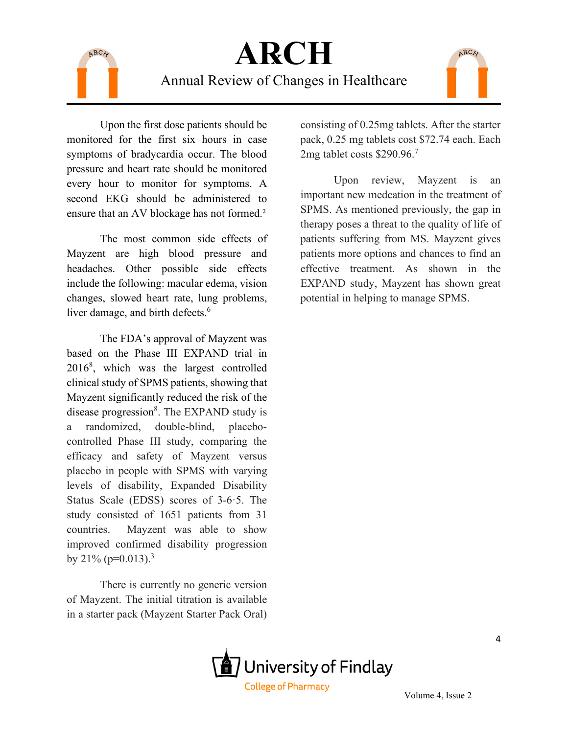

# **A℞CH**

#### Annual Review of Changes in Healthcare



Upon the first dose patients should be monitored for the first six hours in case symptoms of bradycardia occur. The blood pressure and heart rate should be monitored every hour to monitor for symptoms. A second EKG should be administered to ensure that an AV blockage has not formed.<sup>2</sup>

The most common side effects of Mayzent are high blood pressure and headaches. Other possible side effects include the following: macular edema, vision changes, slowed heart rate, lung problems, liver damage, and birth defects.<sup>6</sup>

The FDA's approval of Mayzent was based on the Phase III EXPAND trial in 20168 , which was the largest controlled clinical study of SPMS patients, showing that Mayzent significantly reduced the risk of the disease progression<sup>8</sup>. The EXPAND study is a randomized, double-blind, placebocontrolled Phase III study, comparing the efficacy and safety of Mayzent versus placebo in people with SPMS with varying levels of disability, Expanded Disability Status Scale (EDSS) scores of 3-6·5. The study consisted of 1651 patients from 31 countries. Mayzent was able to show improved confirmed disability progression by  $21\%$  (p=0.013).<sup>3</sup>

There is currently no generic version of Mayzent. The initial titration is available in a starter pack (Mayzent Starter Pack Oral)

consisting of 0.25mg tablets. After the starter pack, 0.25 mg tablets cost \$72.74 each. Each 2mg tablet costs \$290.96.<sup>7</sup>

Upon review, Mayzent is an important new medcation in the treatment of SPMS. As mentioned previously, the gap in therapy poses a threat to the quality of life of patients suffering from MS. Mayzent gives patients more options and chances to find an effective treatment. As shown in the EXPAND study, Mayzent has shown great potential in helping to manage SPMS.